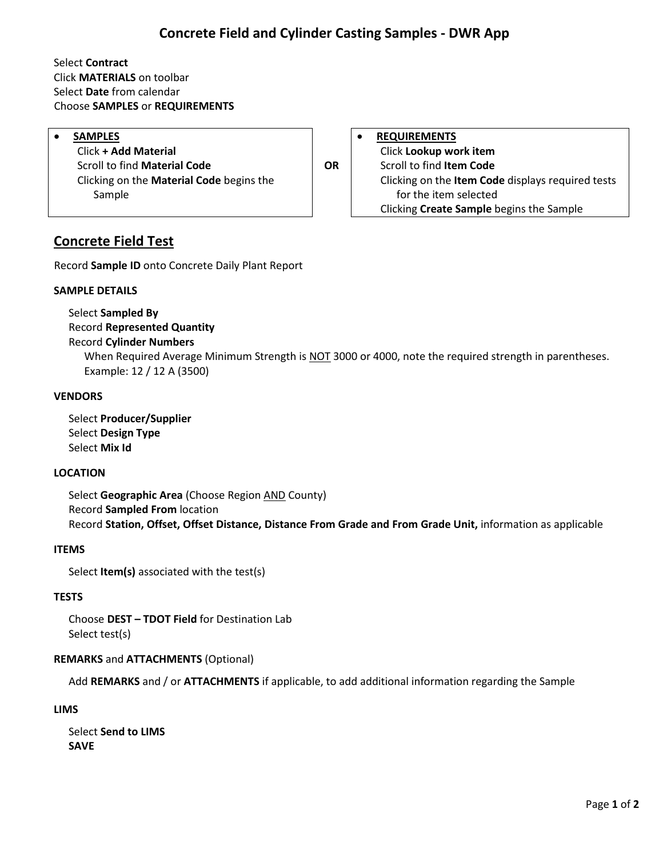# **Concrete Field and Cylinder Casting Samples - DWR App**

### Select **Contract** Click **MATERIALS** on toolbar Select **Date** from calendar Choose **SAMPLES** or **REQUIREMENTS**

Click **+ Add Material** Click **Lookup work item OR** Scroll to find **Material Code OR** Scroll to find **Item Code** Clicking on the **Material Code** begins the Sample

**SAMPLES REQUIREMENTS** Clicking on the **Item Code** displays required tests for the item selected Clicking **Create Sample** begins the Sample

## **Concrete Field Test**

Record **Sample ID** onto Concrete Daily Plant Report

#### **SAMPLE DETAILS**

Select **Sampled By** Record **Represented Quantity**

#### Record **Cylinder Numbers**

When Required Average Minimum Strength is NOT 3000 or 4000, note the required strength in parentheses. Example: 12 / 12 A (3500)

#### **VENDORS**

Select **Producer/Supplier** Select **Design Type** Select **Mix Id**

#### **LOCATION**

Select **Geographic Area** (Choose Region AND County) Record **Sampled From** location Record **Station, Offset, Offset Distance, Distance From Grade and From Grade Unit,** information as applicable

#### **ITEMS**

Select **Item(s)** associated with the test(s)

#### **TESTS**

Choose **DEST – TDOT Field** for Destination Lab Select test(s)

#### **REMARKS** and **ATTACHMENTS** (Optional)

Add **REMARKS** and / or **ATTACHMENTS** if applicable, to add additional information regarding the Sample

#### **LIMS**

Select **Send to LIMS SAVE**